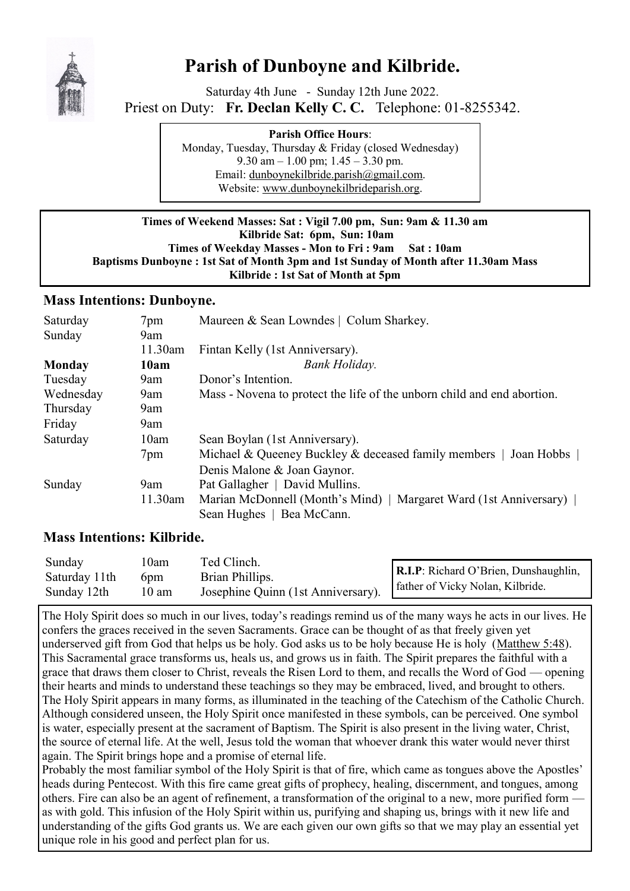

# **Parish of Dunboyne and Kilbride.**

Saturday 4th June - Sunday 12th June 2022. Priest on Duty: **Fr. Declan Kelly C. C.** Telephone: 01-8255342.

> **Parish Office Hours**: Monday, Tuesday, Thursday & Friday (closed Wednesday) 9.30 am  $-1.00$  pm;  $1.45 - 3.30$  pm. Email: [dunboynekilbride.parish@gmail.com.](mailto:dunboynekilbride.parish@gmail.com) Website: [www.dunboynekilbrideparish.org.](http://www.dunboynekilbrideparish.org)

#### **Times of Weekend Masses: Sat : Vigil 7.00 pm, Sun: 9am & 11.30 am Kilbride Sat: 6pm, Sun: 10am Times of Weekday Masses - Mon to Fri : 9am Sat : 10am Baptisms Dunboyne : 1st Sat of Month 3pm and 1st Sunday of Month after 11.30am Mass Kilbride : 1st Sat of Month at 5pm**

## **Mass Intentions: Dunboyne.**

| Saturday      | 7pm     | Maureen & Sean Lowndes   Colum Sharkey.                                        |  |  |
|---------------|---------|--------------------------------------------------------------------------------|--|--|
| Sunday        | 9am     |                                                                                |  |  |
|               | 11.30am | Fintan Kelly (1st Anniversary).                                                |  |  |
| <b>Monday</b> | 10am    | Bank Holiday.                                                                  |  |  |
| Tuesday       | 9am     | Donor's Intention.                                                             |  |  |
| Wednesday     | 9am     | Mass - Novena to protect the life of the unborn child and end abortion.        |  |  |
| Thursday      | 9am     |                                                                                |  |  |
| Friday        | 9am     |                                                                                |  |  |
| Saturday      | 10am    | Sean Boylan (1st Anniversary).                                                 |  |  |
|               | 7pm     | Michael & Queeney Buckley & deceased family members $\vert$ Joan Hobbs $\vert$ |  |  |
|               |         | Denis Malone & Joan Gaynor.                                                    |  |  |
| Sunday        | 9am     | Pat Gallagher   David Mullins.                                                 |  |  |
|               | 11.30am | Marian McDonnell (Month's Mind)   Margaret Ward (1st Anniversary)              |  |  |
|               |         | Sean Hughes<br>Bea McCann.                                                     |  |  |

## **Mass Intentions: Kilbride.**

| Sunday<br>Saturday 11th<br>Sunday 12th | l 0am<br>6pm<br>10 am | Ted Clinch.<br>Brian Phillips.<br>Josephine Quinn (1st Anniversary). | <b>R.I.P</b> : Richard O'Brien, Dunshaughlin,<br>father of Vicky Nolan, Kilbride. |
|----------------------------------------|-----------------------|----------------------------------------------------------------------|-----------------------------------------------------------------------------------|
|                                        |                       |                                                                      |                                                                                   |

The Holy Spirit does so much in our lives, today's readings remind us of the many ways he acts in our lives. He confers the graces received in the seven Sacraments. Grace can be thought of as that freely given yet underserved gift from God that helps us be holy. God asks us to be holy because He is holy ([Matthew 5:48\).](https://bible.usccb.org/bible/matthew/5) This Sacramental grace transforms us, heals us, and grows us in faith. The Spirit prepares the faithful with a grace that draws them closer to Christ, reveals the Risen Lord to them, and recalls the Word of God — opening their hearts and minds to understand these teachings so they may be embraced, lived, and brought to others. The Holy Spirit appears in many forms, as illuminated in the teaching of the Catechism of the Catholic Church. Although considered unseen, the Holy Spirit once manifested in these symbols, can be perceived. One symbol is water, especially present at the sacrament of Baptism. The Spirit is also present in the living water, Christ, the source of eternal life. At the well, Jesus told the woman that whoever drank this water would never thirst again. The Spirit brings hope and a promise of eternal life.

Probably the most familiar symbol of the Holy Spirit is that of fire, which came as tongues above the Apostles' heads during Pentecost. With this fire came great gifts of prophecy, healing, discernment, and tongues, among others. Fire can also be an agent of refinement, a transformation of the original to a new, more purified form as with gold. This infusion of the Holy Spirit within us, purifying and shaping us, brings with it new life and understanding of the gifts God grants us. We are each given our own gifts so that we may play an essential yet unique role in his good and perfect plan for us.